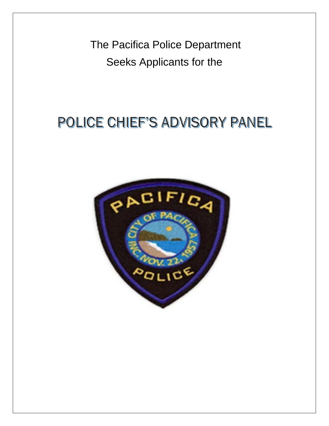The Pacifica Police Department Seeks Applicants for the

# POLICE CHIEF'S ADVISORY PANEL

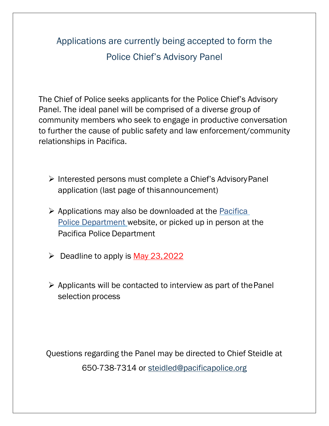## Applications are currently being accepted to form the Police Chief's Advisory Panel

The Chief of Police seeks applicants for the Police Chief's Advisory Panel. The ideal panel will be comprised of a diverse group of community members who seek to engage in productive conversation to further the cause of public safety and law enforcement/community relationships in Pacifica.

- ▶ Interested persons must complete a Chief's Advisory Panel application (last page of thisannouncement)
- $\triangleright$  Applications may also be downloaded at the Pacifica [Police](https://www.cityofpacifica.org/depts/police/) [Department w](https://www.cityofpacifica.org/depts/police/)ebsite, or picked up in person at the Pacifica Police Department
- $\triangleright$  Deadline to apply is May 23,2022
- $\triangleright$  Applicants will be contacted to interview as part of the Panel selection process

Questions regarding the Panel may be directed to Chief Steidle at 650-738-7314 or [steidled@pacificapolice.org](mailto:steidled@pacificapolice.org)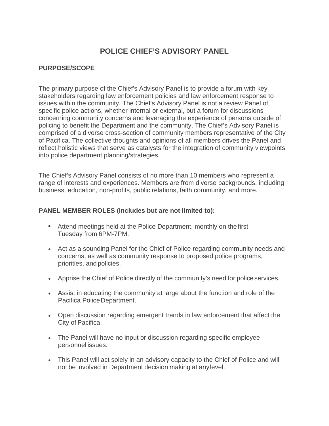### **POLICE CHIEF'S ADVISORY PANEL**

#### **PURPOSE/SCOPE**

The primary purpose of the Chief's Advisory Panel is to provide a forum with key stakeholders regarding law enforcement policies and law enforcement response to issues within the community. The Chief's Advisory Panel is not a review Panel of specific police actions, whether internal or external, but a forum for discussions concerning community concerns and leveraging the experience of persons outside of policing to benefit the Department and the community. The Chief's Advisory Panel is comprised of a diverse cross-section of community members representative of the City of Pacifica. The collective thoughts and opinions of all members drives the Panel and reflect holistic views that serve as catalysts for the integration of community viewpoints into police department planning/strategies.

The Chief's Advisory Panel consists of no more than 10 members who represent a range of interests and experiences. Members are from diverse backgrounds, including business, education, non-profits, public relations, faith community, and more.

#### **PANEL MEMBER ROLES (includes but are not limited to):**

- Attend meetings held at the Police Department, monthly on thefirst Tuesday from 6PM-7PM.
- Act as a sounding Panel for the Chief of Police regarding community needs and concerns, as well as community response to proposed police programs, priorities, and policies.
- Apprise the Chief of Police directly of the community's need for police services.
- Assist in educating the community at large about the function and role of the Pacifica PoliceDepartment.
- Open discussion regarding emergent trends in law enforcement that affect the City of Pacifica.
- The Panel will have no input or discussion regarding specific employee personnel issues.
- This Panel will act solely in an advisory capacity to the Chief of Police and will not be involved in Department decision making at anylevel.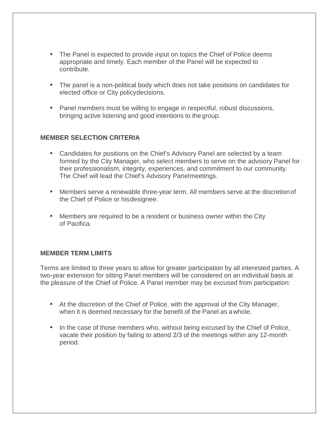- The Panel is expected to provide input on topics the Chief of Police deems appropriate and timely. Each member of the Panel will be expected to contribute.
- The panel is a non-political body which does not take positions on candidates for elected office or City policydecisions.
- Panel members must be willing to engage in respectful, robust discussions, bringing active listening and good intentions to the group.

#### **MEMBER SELECTION CRITERIA**

- Candidates for positions on the Chief's Advisory Panel are selected by a team formed by the City Manager, who select members to serve on the advisory Panel for their professionalism, integrity, experiences, and commitment to our community. The Chief will lead the Chief's Advisory Panelmeetings.
- Members serve a renewable three-year term. All members serve at the discretionof the Chief of Police or hisdesignee.
- Members are required to be a resident or business owner within the City of Pacifica.

#### **MEMBER TERM LIMITS**

Terms are limited to three years to allow for greater participation by all interested parties. A two-year extension for sitting Panel members will be considered on an individual basis at the pleasure of the Chief of Police. A Panel member may be excused from participation:

- At the discretion of the Chief of Police, with the approval of the City Manager, when it is deemed necessary for the benefit of the Panel as awhole.
- In the case of those members who, without being excused by the Chief of Police, vacate their position by failing to attend 2/3 of the meetings within any 12-month period.